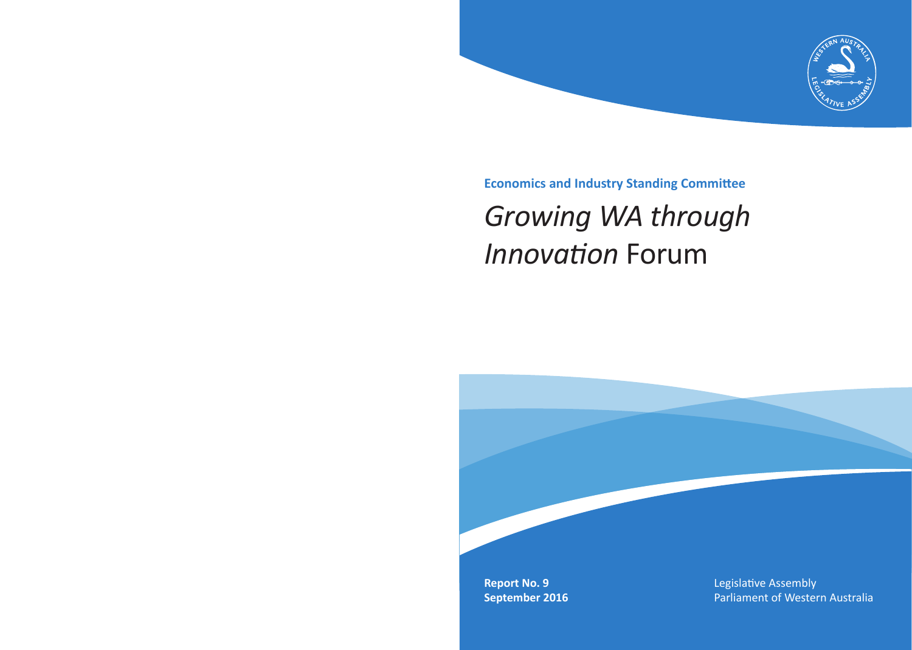

**Economics and Industry Standing Committee**

# *Growing WA through Innovation* Forum

**Report No. 9 September 2016** Legislative Assembly Parliament of Western Australia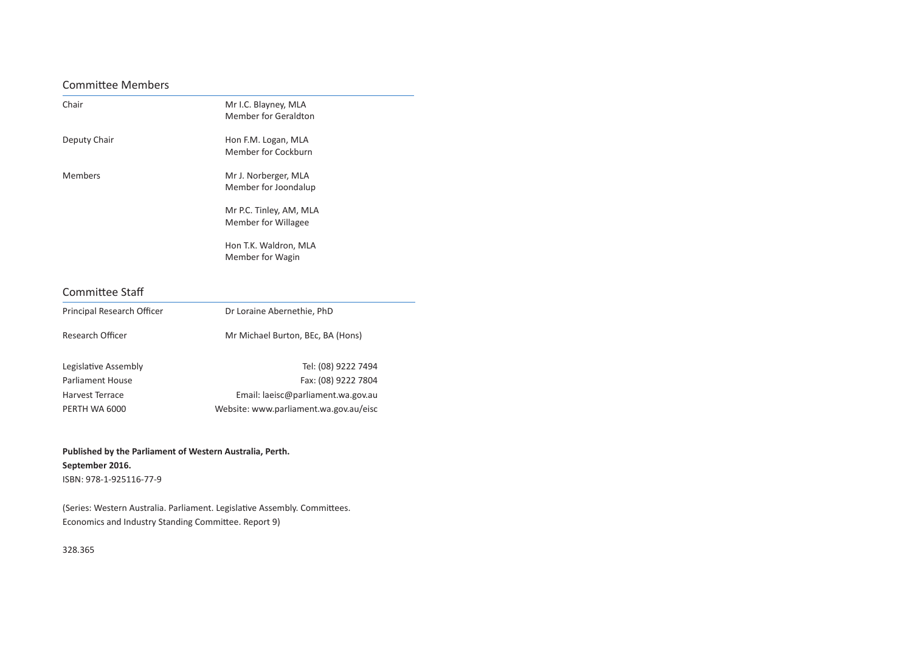#### Committee Members

| Chair          | Mr I.C. Blayney, MLA<br>Member for Geraldton   |
|----------------|------------------------------------------------|
| Deputy Chair   | Hon F.M. Logan, MLA<br>Member for Cockburn     |
| <b>Members</b> | Mr J. Norberger, MLA<br>Member for Joondalup   |
|                | Mr P.C. Tinley, AM, MLA<br>Member for Willagee |
|                | Hon T.K. Waldron, MLA<br>Member for Wagin      |

#### Committee Staff

| Principal Research Officer | Dr Loraine Abernethie, PhD        |
|----------------------------|-----------------------------------|
| Research Officer           | Mr Michael Burton, BEc, BA (Hons) |
| Legislative Assembly       | Tel: (08) 9222 7494               |

Parliament House Fax: (08) 9222 7804 Harvest Terrace **Email:** laeisc@parliament.wa.gov.au PERTH WA 6000 Website: www.parliament.wa.gov.au/eisc

#### **Published by the Parliament of Western Australia, Perth. September 2016.** ISBN: 978-1-925116-77-9

(Series: Western Australia. Parliament. Legislative Assembly. Committees. Economics and Industry Standing Committee. Report 9)

328.365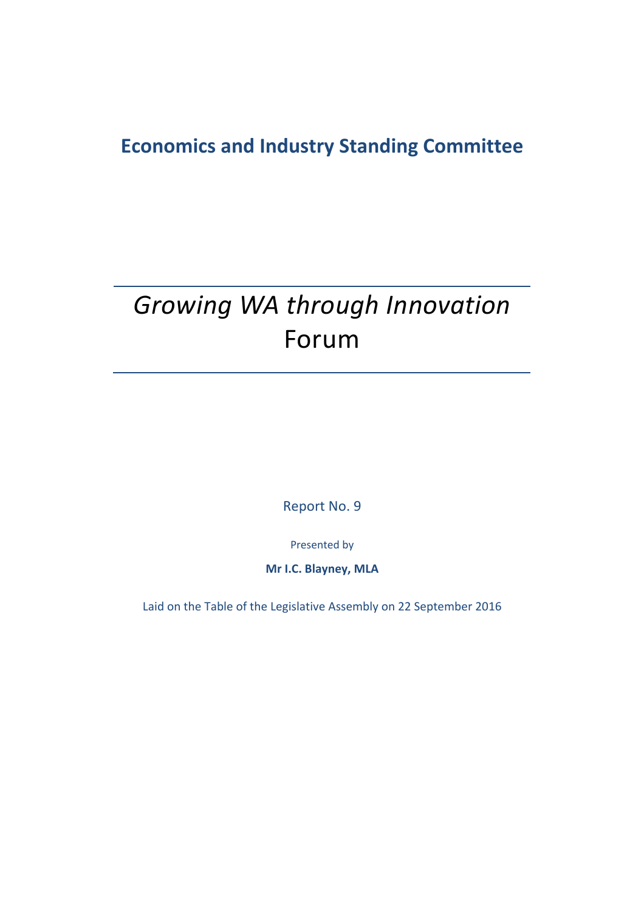## **Economics and Industry Standing Committee**

## *Growing WA through Innovation* Forum

Report No. 9

Presented by

**Mr I.C. Blayney, MLA**

Laid on the Table of the Legislative Assembly on 22 September 2016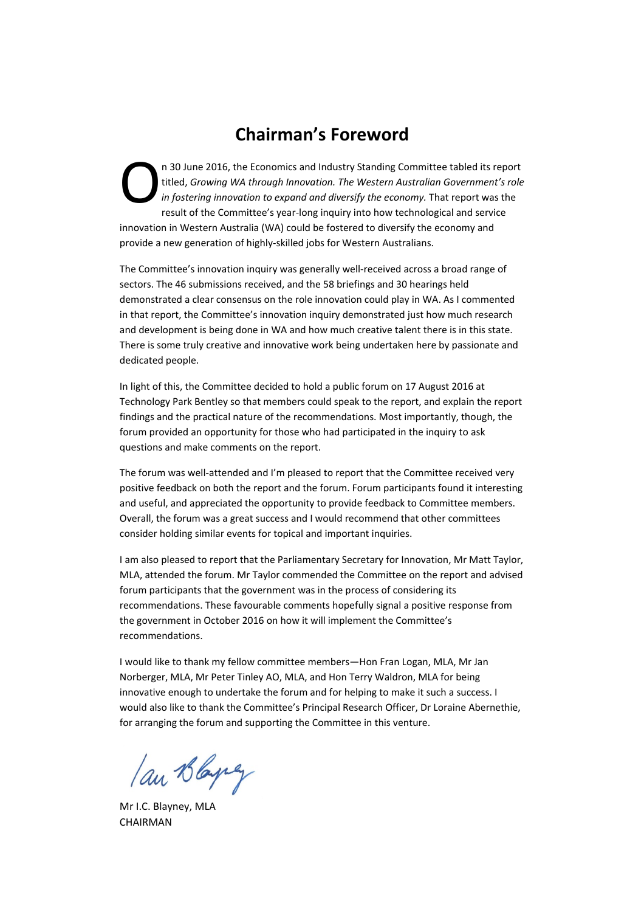### **Chairman's Foreword**

n 30 June 2016, the Economics and Industry Standing Committee tabled its report titled, *Growing WA through Innovation. The Western Australian Government's role in fostering innovation to expand and diversify the economy.* That report was the result of the Committee's year-long inquiry into how technological and service innovation in Western Australia (WA) could be fostered to diversify the economy and provide a new generation of highly‐skilled jobs for Western Australians. O

The Committee's innovation inquiry was generally well-received across a broad range of sectors. The 46 submissions received, and the 58 briefings and 30 hearings held demonstrated a clear consensus on the role innovation could play in WA. As I commented in that report, the Committee's innovation inquiry demonstrated just how much research and development is being done in WA and how much creative talent there is in this state. There is some truly creative and innovative work being undertaken here by passionate and dedicated people.

In light of this, the Committee decided to hold a public forum on 17 August 2016 at Technology Park Bentley so that members could speak to the report, and explain the report findings and the practical nature of the recommendations. Most importantly, though, the forum provided an opportunity for those who had participated in the inquiry to ask questions and make comments on the report.

The forum was well-attended and I'm pleased to report that the Committee received very positive feedback on both the report and the forum. Forum participants found it interesting and useful, and appreciated the opportunity to provide feedback to Committee members. Overall, the forum was a great success and I would recommend that other committees consider holding similar events for topical and important inquiries.

I am also pleased to report that the Parliamentary Secretary for Innovation, Mr Matt Taylor, MLA, attended the forum. Mr Taylor commended the Committee on the report and advised forum participants that the government was in the process of considering its recommendations. These favourable comments hopefully signal a positive response from the government in October 2016 on how it will implement the Committee's recommendations.

I would like to thank my fellow committee members—Hon Fran Logan, MLA, Mr Jan Norberger, MLA, Mr Peter Tinley AO, MLA, and Hon Terry Waldron, MLA for being innovative enough to undertake the forum and for helping to make it such a success. I would also like to thank the Committee's Principal Research Officer, Dr Loraine Abernethie, for arranging the forum and supporting the Committee in this venture.

lan Blayey

Mr I.C. Blayney, MLA CHAIRMAN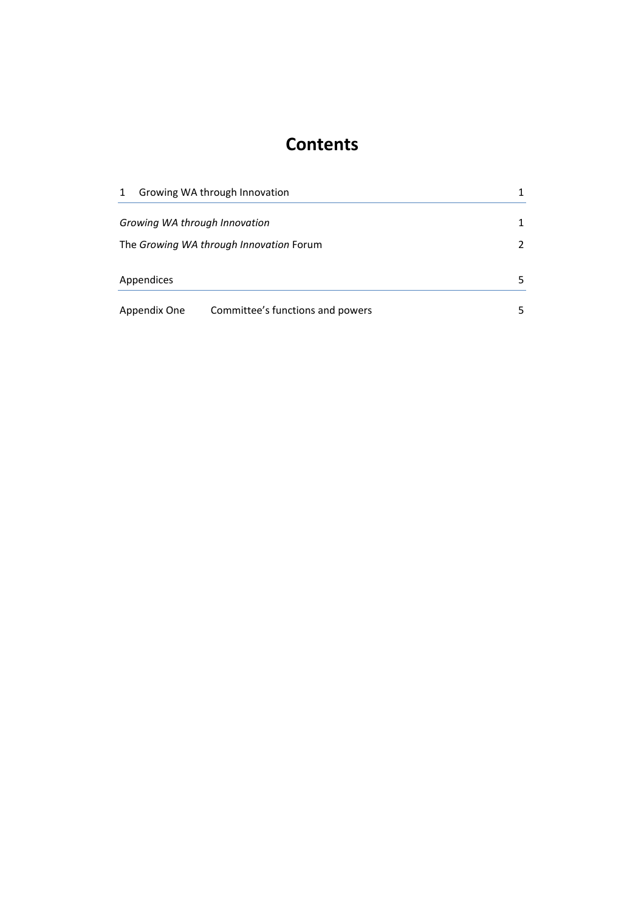## **Contents**

| 1                             | Growing WA through Innovation           |    |
|-------------------------------|-----------------------------------------|----|
| Growing WA through Innovation |                                         |    |
|                               | The Growing WA through Innovation Forum | 2  |
| Appendices                    |                                         | 5. |
| Appendix One                  | Committee's functions and powers        | 5. |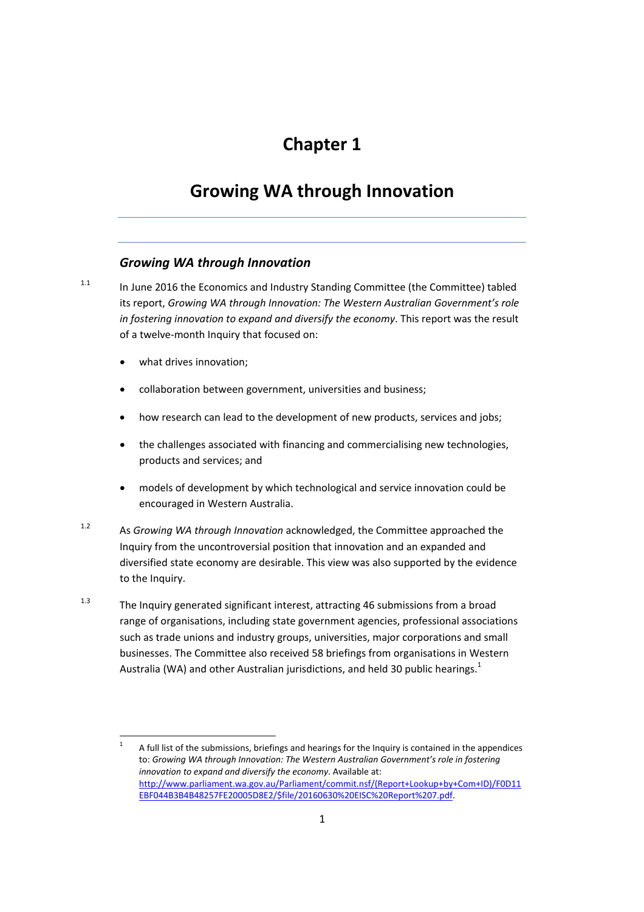## **Chapter 1**

## **Growing WA through Innovation**

#### *Growing WA through Innovation*

 $1.1$  In June 2016 the Economics and Industry Standing Committee (the Committee) tabled its report, *Growing WA through Innovation: The Western Australian Government's role in fostering innovation to expand and diversify the economy*. This report was the result of a twelve‐month Inquiry that focused on:

what drives innovation;

- collaboration between government, universities and business;
- how research can lead to the development of new products, services and jobs;
- the challenges associated with financing and commercialising new technologies, products and services; and
- models of development by which technological and service innovation could be encouraged in Western Australia.
- 1.2 As *Growing WA through Innovation* acknowledged, the Committee approached the Inquiry from the uncontroversial position that innovation and an expanded and diversified state economy are desirable. This view was also supported by the evidence to the Inquiry.
- $1.3$  The Inquiry generated significant interest, attracting 46 submissions from a broad range of organisations, including state government agencies, professional associations such as trade unions and industry groups, universities, major corporations and small businesses. The Committee also received 58 briefings from organisations in Western Australia (WA) and other Australian jurisdictions, and held 30 public hearings.<sup>1</sup>

 $1 -$  A full list of the submissions, briefings and hearings for the Inquiry is contained in the appendices to: *Growing WA through Innovation: The Western Australian Government's role in fostering innovation to expand and diversify the economy*. Available at: http://www.parliament.wa.gov.au/Parliament/commit.nsf/(Report+Lookup+by+Com+ID)/F0D11 EBF044B3B4B48257FE20005D8E2/\$file/20160630%20EISC%20Report%207.pdf.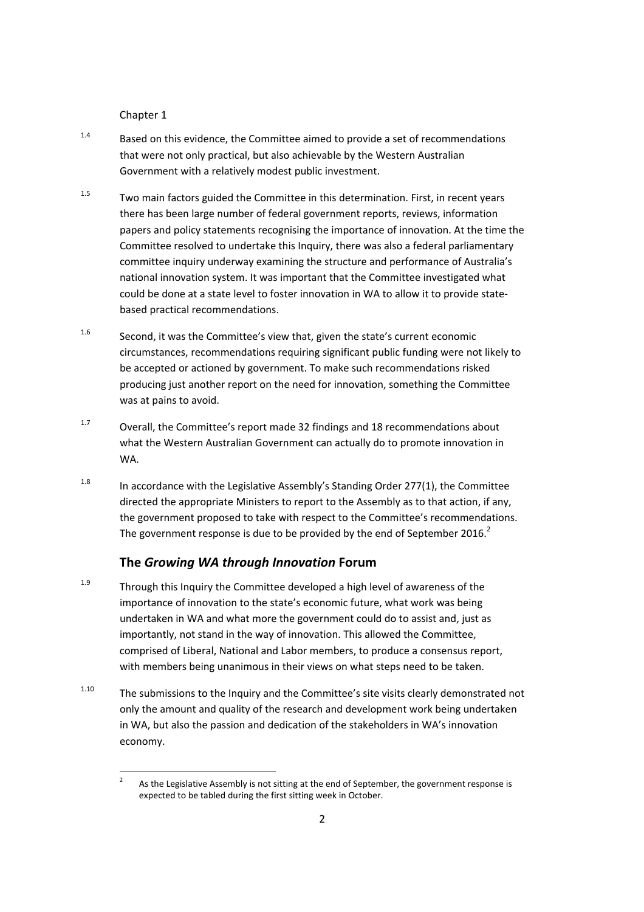Chapter 1

- $1.4$  Based on this evidence, the Committee aimed to provide a set of recommendations that were not only practical, but also achievable by the Western Australian Government with a relatively modest public investment.
- $1.5$  Two main factors guided the Committee in this determination. First, in recent years there has been large number of federal government reports, reviews, information papers and policy statements recognising the importance of innovation. At the time the Committee resolved to undertake this Inquiry, there was also a federal parliamentary committee inquiry underway examining the structure and performance of Australia's national innovation system. It was important that the Committee investigated what could be done at a state level to foster innovation in WA to allow it to provide state‐ based practical recommendations.
- $1.6$  Second, it was the Committee's view that, given the state's current economic circumstances, recommendations requiring significant public funding were not likely to be accepted or actioned by government. To make such recommendations risked producing just another report on the need for innovation, something the Committee was at pains to avoid.
- $1.7$  Overall, the Committee's report made 32 findings and 18 recommendations about what the Western Australian Government can actually do to promote innovation in WA.
- $1.8$  In accordance with the Legislative Assembly's Standing Order 277(1), the Committee directed the appropriate Ministers to report to the Assembly as to that action, if any, the government proposed to take with respect to the Committee's recommendations. The government response is due to be provided by the end of September 2016.<sup>2</sup>

#### **The** *Growing WA through Innovation* **Forum**

- $1.9$  Through this Inquiry the Committee developed a high level of awareness of the importance of innovation to the state's economic future, what work was being undertaken in WA and what more the government could do to assist and, just as importantly, not stand in the way of innovation. This allowed the Committee, comprised of Liberal, National and Labor members, to produce a consensus report, with members being unanimous in their views on what steps need to be taken.
- <sup>1.10</sup> The submissions to the Inquiry and the Committee's site visits clearly demonstrated not only the amount and quality of the research and development work being undertaken in WA, but also the passion and dedication of the stakeholders in WA's innovation economy.

 <sup>2</sup> As the Legislative Assembly is not sitting at the end of September, the government response is expected to be tabled during the first sitting week in October.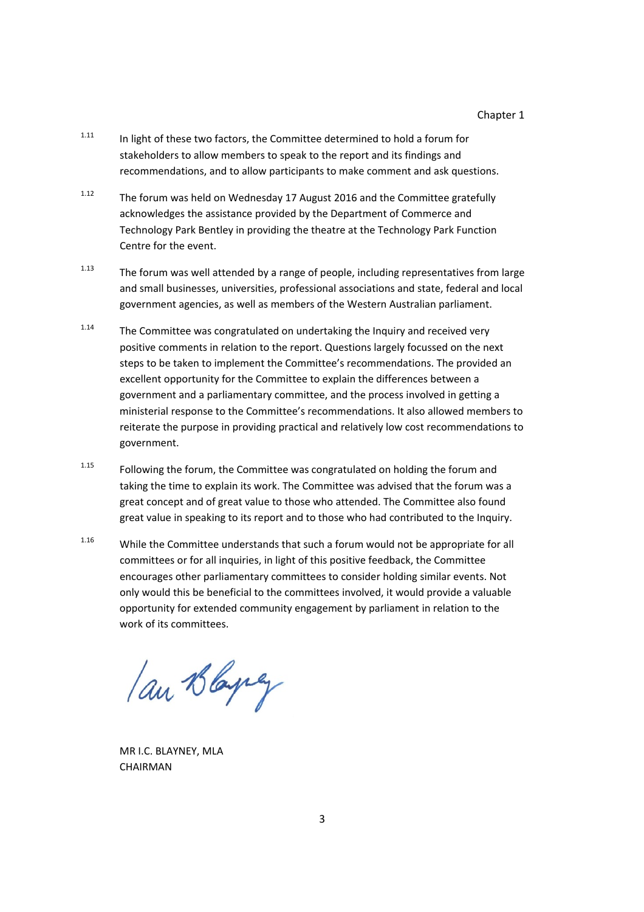- $1.11$  In light of these two factors, the Committee determined to hold a forum for stakeholders to allow members to speak to the report and its findings and recommendations, and to allow participants to make comment and ask questions.
- $1.12$  The forum was held on Wednesday 17 August 2016 and the Committee gratefully acknowledges the assistance provided by the Department of Commerce and Technology Park Bentley in providing the theatre at the Technology Park Function Centre for the event.
- $1.13$  The forum was well attended by a range of people, including representatives from large and small businesses, universities, professional associations and state, federal and local government agencies, as well as members of the Western Australian parliament.
- $1.14$  The Committee was congratulated on undertaking the Inquiry and received very positive comments in relation to the report. Questions largely focussed on the next steps to be taken to implement the Committee's recommendations. The provided an excellent opportunity for the Committee to explain the differences between a government and a parliamentary committee, and the process involved in getting a ministerial response to the Committee's recommendations. It also allowed members to reiterate the purpose in providing practical and relatively low cost recommendations to government.
- <sup>1.15</sup> Following the forum, the Committee was congratulated on holding the forum and taking the time to explain its work. The Committee was advised that the forum was a great concept and of great value to those who attended. The Committee also found great value in speaking to its report and to those who had contributed to the Inquiry.
- 1.16 While the Committee understands that such a forum would not be appropriate for all committees or for all inquiries, in light of this positive feedback, the Committee encourages other parliamentary committees to consider holding similar events. Not only would this be beneficial to the committees involved, it would provide a valuable opportunity for extended community engagement by parliament in relation to the work of its committees.

an Blaying

MR I.C. BLAYNEY, MLA **CHAIRMAN**